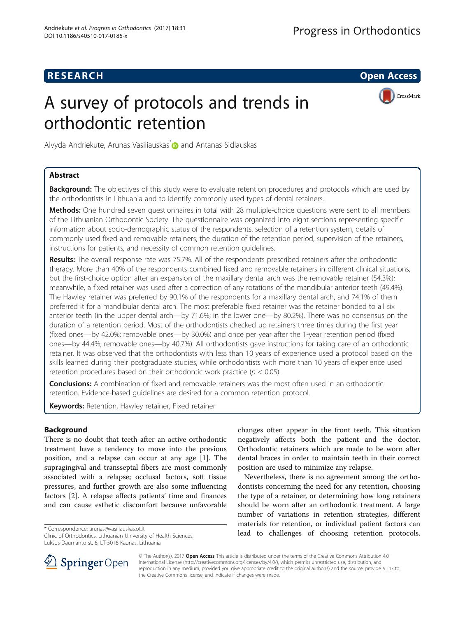# **RESEARCH CHE Open Access**

# A survey of protocols and trends in orthodontic retention



Alvyda Andriekute, Arunas Vasiliauskas<sup>\*</sup> and Antanas Sidlauskas

# Abstract

**Background:** The objectives of this study were to evaluate retention procedures and protocols which are used by the orthodontists in Lithuania and to identify commonly used types of dental retainers.

Methods: One hundred seven questionnaires in total with 28 multiple-choice questions were sent to all members of the Lithuanian Orthodontic Society. The questionnaire was organized into eight sections representing specific information about socio-demographic status of the respondents, selection of a retention system, details of commonly used fixed and removable retainers, the duration of the retention period, supervision of the retainers, instructions for patients, and necessity of common retention guidelines.

Results: The overall response rate was 75.7%. All of the respondents prescribed retainers after the orthodontic therapy. More than 40% of the respondents combined fixed and removable retainers in different clinical situations, but the first-choice option after an expansion of the maxillary dental arch was the removable retainer (54.3%); meanwhile, a fixed retainer was used after a correction of any rotations of the mandibular anterior teeth (49.4%). The Hawley retainer was preferred by 90.1% of the respondents for a maxillary dental arch, and 74.1% of them preferred it for a mandibular dental arch. The most preferable fixed retainer was the retainer bonded to all six anterior teeth (in the upper dental arch—by 71.6%; in the lower one—by 80.2%). There was no consensus on the duration of a retention period. Most of the orthodontists checked up retainers three times during the first year (fixed ones—by 42.0%; removable ones—by 30.0%) and once per year after the 1-year retention period (fixed ones—by 44.4%; removable ones—by 40.7%). All orthodontists gave instructions for taking care of an orthodontic retainer. It was observed that the orthodontists with less than 10 years of experience used a protocol based on the skills learned during their postgraduate studies, while orthodontists with more than 10 years of experience used retention procedures based on their orthodontic work practice ( $p < 0.05$ ).

Conclusions: A combination of fixed and removable retainers was the most often used in an orthodontic retention. Evidence-based guidelines are desired for a common retention protocol.

Keywords: Retention, Hawley retainer, Fixed retainer

# Background

There is no doubt that teeth after an active orthodontic treatment have a tendency to move into the previous position, and a relapse can occur at any age [\[1](#page-6-0)]. The supragingival and transseptal fibers are most commonly associated with a relapse; occlusal factors, soft tissue pressures, and further growth are also some influencing factors [\[2](#page-6-0)]. A relapse affects patients' time and finances and can cause esthetic discomfort because unfavorable

Clinic of Orthodontics, Lithuanian University of Health Sciences, Lukšos-Daumanto st. 6, LT-5016 Kaunas, Lithuania

changes often appear in the front teeth. This situation negatively affects both the patient and the doctor. Orthodontic retainers which are made to be worn after dental braces in order to maintain teeth in their correct position are used to minimize any relapse.

Nevertheless, there is no agreement among the orthodontists concerning the need for any retention, choosing the type of a retainer, or determining how long retainers should be worn after an orthodontic treatment. A large number of variations in retention strategies, different materials for retention, or individual patient factors can \* Correspondence: [arunas@vasiliauskas.ot.lt](mailto:arunas@vasiliauskas.ot.lt)<br>Clinic of Orthodontics Lithuanian University of Health Sciences **and to challenges of choosing retention protocols.** 



© The Author(s). 2017 **Open Access** This article is distributed under the terms of the Creative Commons Attribution 4.0 International License ([http://creativecommons.org/licenses/by/4.0/\)](http://creativecommons.org/licenses/by/4.0/), which permits unrestricted use, distribution, and reproduction in any medium, provided you give appropriate credit to the original author(s) and the source, provide a link to the Creative Commons license, and indicate if changes were made.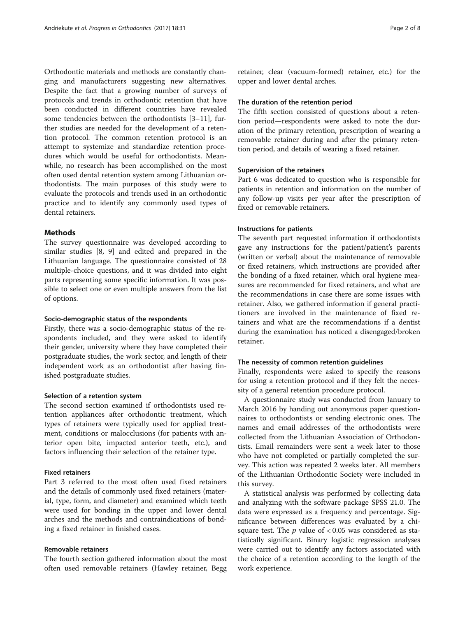Orthodontic materials and methods are constantly changing and manufacturers suggesting new alternatives. Despite the fact that a growing number of surveys of protocols and trends in orthodontic retention that have been conducted in different countries have revealed some tendencies between the orthodontists [\[3](#page-6-0)–[11](#page-7-0)], further studies are needed for the development of a retention protocol. The common retention protocol is an attempt to systemize and standardize retention procedures which would be useful for orthodontists. Meanwhile, no research has been accomplished on the most often used dental retention system among Lithuanian orthodontists. The main purposes of this study were to evaluate the protocols and trends used in an orthodontic practice and to identify any commonly used types of dental retainers.

#### Methods

The survey questionnaire was developed according to similar studies [\[8](#page-6-0), [9\]](#page-6-0) and edited and prepared in the Lithuanian language. The questionnaire consisted of 28 multiple-choice questions, and it was divided into eight parts representing some specific information. It was possible to select one or even multiple answers from the list of options.

#### Socio-demographic status of the respondents

Firstly, there was a socio-demographic status of the respondents included, and they were asked to identify their gender, university where they have completed their postgraduate studies, the work sector, and length of their independent work as an orthodontist after having finished postgraduate studies.

#### Selection of a retention system

The second section examined if orthodontists used retention appliances after orthodontic treatment, which types of retainers were typically used for applied treatment, conditions or malocclusions (for patients with anterior open bite, impacted anterior teeth, etc.), and factors influencing their selection of the retainer type.

# Fixed retainers

Part 3 referred to the most often used fixed retainers and the details of commonly used fixed retainers (material, type, form, and diameter) and examined which teeth were used for bonding in the upper and lower dental arches and the methods and contraindications of bonding a fixed retainer in finished cases.

# Removable retainers

The fourth section gathered information about the most often used removable retainers (Hawley retainer, Begg

retainer, clear (vacuum-formed) retainer, etc.) for the upper and lower dental arches.

#### The duration of the retention period

The fifth section consisted of questions about a retention period—respondents were asked to note the duration of the primary retention, prescription of wearing a removable retainer during and after the primary retention period, and details of wearing a fixed retainer.

#### Supervision of the retainers

Part 6 was dedicated to question who is responsible for patients in retention and information on the number of any follow-up visits per year after the prescription of fixed or removable retainers.

# Instructions for patients

The seventh part requested information if orthodontists gave any instructions for the patient/patient's parents (written or verbal) about the maintenance of removable or fixed retainers, which instructions are provided after the bonding of a fixed retainer, which oral hygiene measures are recommended for fixed retainers, and what are the recommendations in case there are some issues with retainer. Also, we gathered information if general practitioners are involved in the maintenance of fixed retainers and what are the recommendations if a dentist during the examination has noticed a disengaged/broken retainer.

# The necessity of common retention guidelines

Finally, respondents were asked to specify the reasons for using a retention protocol and if they felt the necessity of a general retention procedure protocol.

A questionnaire study was conducted from January to March 2016 by handing out anonymous paper questionnaires to orthodontists or sending electronic ones. The names and email addresses of the orthodontists were collected from the Lithuanian Association of Orthodontists. Email remainders were sent a week later to those who have not completed or partially completed the survey. This action was repeated 2 weeks later. All members of the Lithuanian Orthodontic Society were included in this survey.

A statistical analysis was performed by collecting data and analyzing with the software package SPSS 21.0. The data were expressed as a frequency and percentage. Significance between differences was evaluated by a chisquare test. The  $p$  value of < 0.05 was considered as statistically significant. Binary logistic regression analyses were carried out to identify any factors associated with the choice of a retention according to the length of the work experience.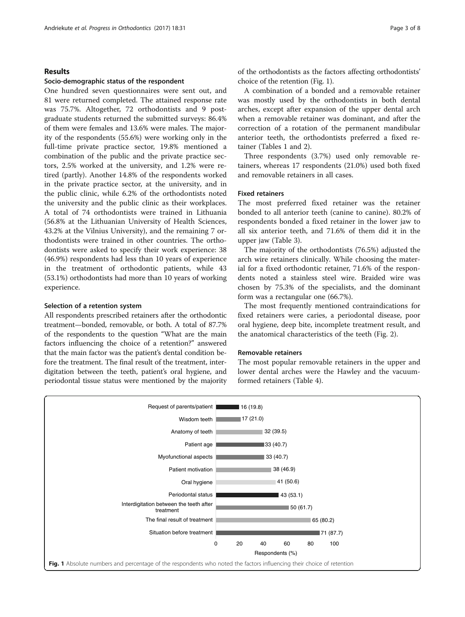#### Results

#### Socio-demographic status of the respondent

One hundred seven questionnaires were sent out, and 81 were returned completed. The attained response rate was 75.7%. Altogether, 72 orthodontists and 9 postgraduate students returned the submitted surveys: 86.4% of them were females and 13.6% were males. The majority of the respondents (55.6%) were working only in the full-time private practice sector, 19.8% mentioned a combination of the public and the private practice sectors, 2.5% worked at the university, and 1.2% were retired (partly). Another 14.8% of the respondents worked in the private practice sector, at the university, and in the public clinic, while 6.2% of the orthodontists noted the university and the public clinic as their workplaces. A total of 74 orthodontists were trained in Lithuania (56.8% at the Lithuanian University of Health Sciences, 43.2% at the Vilnius University), and the remaining 7 orthodontists were trained in other countries. The orthodontists were asked to specify their work experience: 38 (46.9%) respondents had less than 10 years of experience in the treatment of orthodontic patients, while 43 (53.1%) orthodontists had more than 10 years of working experience.

#### Selection of a retention system

All respondents prescribed retainers after the orthodontic treatment—bonded, removable, or both. A total of 87.7% of the respondents to the question "What are the main factors influencing the choice of a retention?" answered that the main factor was the patient's dental condition before the treatment. The final result of the treatment, interdigitation between the teeth, patient's oral hygiene, and periodontal tissue status were mentioned by the majority of the orthodontists as the factors affecting orthodontists' choice of the retention (Fig. 1).

A combination of a bonded and a removable retainer was mostly used by the orthodontists in both dental arches, except after expansion of the upper dental arch when a removable retainer was dominant, and after the correction of a rotation of the permanent mandibular anterior teeth, the orthodontists preferred a fixed retainer (Tables [1](#page-3-0) and [2](#page-3-0)).

Three respondents (3.7%) used only removable retainers, whereas 17 respondents (21.0%) used both fixed and removable retainers in all cases.

# Fixed retainers

The most preferred fixed retainer was the retainer bonded to all anterior teeth (canine to canine). 80.2% of respondents bonded a fixed retainer in the lower jaw to all six anterior teeth, and 71.6% of them did it in the upper jaw (Table [3](#page-4-0)).

The majority of the orthodontists (76.5%) adjusted the arch wire retainers clinically. While choosing the material for a fixed orthodontic retainer, 71.6% of the respondents noted a stainless steel wire. Braided wire was chosen by 75.3% of the specialists, and the dominant form was a rectangular one (66.7%).

The most frequently mentioned contraindications for fixed retainers were caries, a periodontal disease, poor oral hygiene, deep bite, incomplete treatment result, and the anatomical characteristics of the teeth (Fig. [2\)](#page-4-0).

# Removable retainers

The most popular removable retainers in the upper and lower dental arches were the Hawley and the vacuumformed retainers (Table [4\)](#page-5-0).

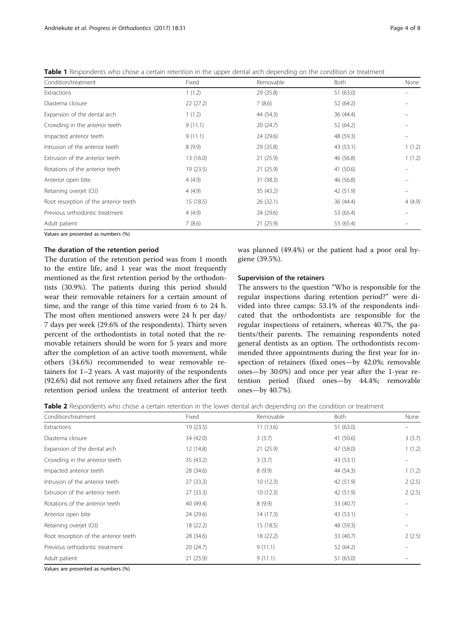| Condition/treatment                   | Fixed     | Removable | Both      | None   |
|---------------------------------------|-----------|-----------|-----------|--------|
| Extractions                           | 1(1.2)    | 29 (35.8) | 51(63.0)  |        |
| Diastema closure                      | 22(27.2)  | 7(8.6)    | 52 (64.2) |        |
| Expansion of the dental arch          | 1(1.2)    | 44 (54.3) | 36 (44.4) |        |
| Crowding in the anterior teeth        | 9(11.1)   | 20(24.7)  | 52 (64.2) |        |
| Impacted anterior teeth               | 9(11.1)   | 24 (29.6) | 48 (59.3) |        |
| Intrusion of the anterior teeth       | 8(9.9)    | 29 (35.8) | 43 (53.1) | 1(1.2) |
| Extrusion of the anterior teeth       | 13(16.0)  | 21(25.9)  | 46 (56.8) | 1(1.2) |
| Rotations of the anterior teeth       | 19 (23.5) | 21(25.9)  | 41 (50.6) |        |
| Anterior open bite                    | 4(4.9)    | 31(38.3)  | 46 (56.8) |        |
| Retaining overjet (OJ)                | 4(4.9)    | 35 (43.2) | 42 (51.9) |        |
| Root resorption of the anterior teeth | 15 (18.5) | 26(32.1)  | 36 (44.4) | 4(4.9) |
| Previous orthodontic treatment        | 4(4.9)    | 24 (29.6) | 53 (65.4) |        |
| Adult patient                         | 7(8.6)    | 21(25.9)  | 53 (65.4) |        |

<span id="page-3-0"></span>Table 1 Respondents who chose a certain retention in the upper dental arch depending on the condition or treatment

Values are presented as numbers (%)

## The duration of the retention period

The duration of the retention period was from 1 month to the entire life, and 1 year was the most frequently mentioned as the first retention period by the orthodontists (30.9%). The patients during this period should wear their removable retainers for a certain amount of time, and the range of this time varied from 6 to 24 h. The most often mentioned answers were 24 h per day/ 7 days per week (29.6% of the respondents). Thirty seven percent of the orthodontists in total noted that the removable retainers should be worn for 5 years and more after the completion of an active tooth movement, while others (34.6%) recommended to wear removable retainers for 1–2 years. A vast majority of the respondents (92.6%) did not remove any fixed retainers after the first retention period unless the treatment of anterior teeth

was planned (49.4%) or the patient had a poor oral hygiene (39.5%).

# Supervision of the retainers

The answers to the question "Who is responsible for the regular inspections during retention period?" were divided into three camps: 53.1% of the respondents indicated that the orthodontists are responsible for the regular inspections of retainers, whereas 40.7%, the patients/their parents. The remaining respondents noted general dentists as an option. The orthodontists recommended three appointments during the first year for inspection of retainers (fixed ones—by 42.0%; removable ones—by 30.0%) and once per year after the 1-year retention period (fixed ones—by 44.4%; removable ones—by 40.7%).

Table 2 Respondents who chose a certain retention in the lower dental arch depending on the condition or treatment

| Condition/treatment                   | Fixed     | Removable | Both      | None   |
|---------------------------------------|-----------|-----------|-----------|--------|
| Extractions                           | 19 (23.5) | 11(13.6)  | 51 (63.0) |        |
| Diastema closure                      | 34 (42.0) | 3(3.7)    | 41 (50.6) | 3(3.7) |
| Expansion of the dental arch          | 12 (14.8) | 21(25.9)  | 47 (58.0) | 1(1.2) |
| Crowding in the anterior teeth        | 35 (43.2) | 3(3.7)    | 43 (53.1) |        |
| Impacted anterior teeth               | 28 (34.6) | 8(9.9)    | 44 (54.3) | 1(1.2) |
| Intrusion of the anterior teeth       | 27 (33.3) | 10(12.3)  | 42 (51.9) | 2(2.5) |
| Extrusion of the anterior teeth       | 27 (33.3) | 10(12.3)  | 42 (51.9) | 2(2.5) |
| Rotations of the anterior teeth       | 40 (49.4) | 8(9.9)    | 33 (40.7) |        |
| Anterior open bite                    | 24 (29.6) | 14 (17.3) | 43 (53.1) |        |
| Retaining overjet (OJ)                | 18 (22.2) | 15(18.5)  | 48 (59.3) |        |
| Root resorption of the anterior teeth | 28 (34.6) | 18 (22.2) | 33 (40.7) | 2(2.5) |
| Previous orthodontic treatment        | 20 (24.7) | 9(11.1)   | 52 (64.2) |        |
| Adult patient                         | 21(25.9)  | 9(11.1)   | 51(63.0)  |        |

Values are presented as numbers (%)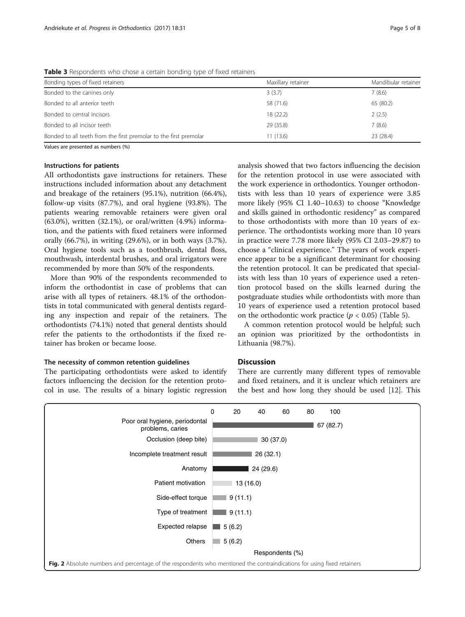<span id="page-4-0"></span>Table 3 Respondents who chose a certain bonding type of fixed retainers

| Bonding types of fixed retainers                                  | Maxillary retainer | Mandibular retainer |
|-------------------------------------------------------------------|--------------------|---------------------|
| Bonded to the canines only                                        | 3(3.7)             | 7(8.6)              |
| Bonded to all anterior teeth                                      | 58 (71.6)          | 65 (80.2)           |
| Bonded to central incisors                                        | 18 (22.2)          | 2(2.5)              |
| Bonded to all incisor teeth                                       | 29 (35.8)          | 7(8.6)              |
| Bonded to all teeth from the first premolar to the first premolar | 1(13.6)            | 23 (28.4)           |
| .                                                                 |                    |                     |

Values are presented as numbers (%)

#### Instructions for patients

All orthodontists gave instructions for retainers. These instructions included information about any detachment and breakage of the retainers (95.1%), nutrition (66.4%), follow-up visits (87.7%), and oral hygiene (93.8%). The patients wearing removable retainers were given oral (63.0%), written (32.1%), or oral/written (4.9%) information, and the patients with fixed retainers were informed orally (66.7%), in writing (29.6%), or in both ways (3.7%). Oral hygiene tools such as a toothbrush, dental floss, mouthwash, interdental brushes, and oral irrigators were recommended by more than 50% of the respondents.

More than 90% of the respondents recommended to inform the orthodontist in case of problems that can arise with all types of retainers. 48.1% of the orthodontists in total communicated with general dentists regarding any inspection and repair of the retainers. The orthodontists (74.1%) noted that general dentists should refer the patients to the orthodontists if the fixed retainer has broken or became loose.

# The necessity of common retention guidelines

The participating orthodontists were asked to identify factors influencing the decision for the retention protocol in use. The results of a binary logistic regression analysis showed that two factors influencing the decision for the retention protocol in use were associated with the work experience in orthodontics. Younger orthodontists with less than 10 years of experience were 3.85 more likely (95% CI 1.40–10.63) to choose "Knowledge and skills gained in orthodontic residency" as compared to those orthodontists with more than 10 years of experience. The orthodontists working more than 10 years in practice were 7.78 more likely (95% CI 2.03–29.87) to choose a "clinical experience." The years of work experience appear to be a significant determinant for choosing the retention protocol. It can be predicated that specialists with less than 10 years of experience used a retention protocol based on the skills learned during the postgraduate studies while orthodontists with more than 10 years of experience used a retention protocol based on the orthodontic work practice ( $p < 0.05$ ) (Table [5\)](#page-5-0).

A common retention protocol would be helpful; such an opinion was prioritized by the orthodontists in Lithuania (98.7%).

# **Discussion**

There are currently many different types of removable and fixed retainers, and it is unclear which retainers are the best and how long they should be used [[12\]](#page-7-0). This

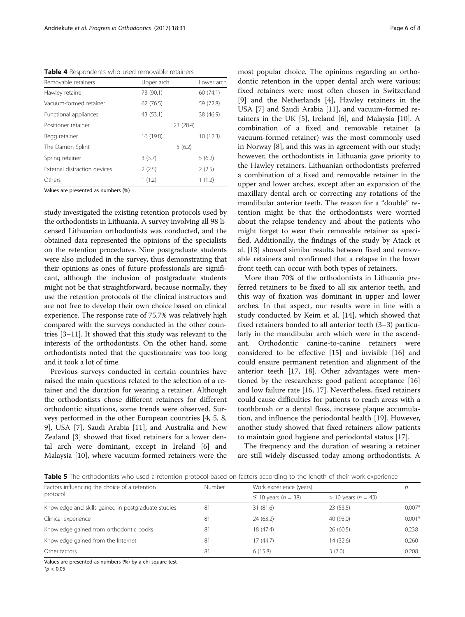<span id="page-5-0"></span>Table 4 Respondents who used removable retainers

| Removable retainers          | Upper arch |           | Lower arch |
|------------------------------|------------|-----------|------------|
| Hawley retainer              | 73 (90.1)  |           | 60 (74.1)  |
| Vacuum-formed retainer       | 62 (76.5)  |           | 59 (72.8)  |
| Functional appliances        | 43 (53.1)  |           | 38 (46.9)  |
| Positioner retainer          |            | 23 (28.4) |            |
| Begg retainer                | 16 (19.8)  |           | 10(12.3)   |
| The Damon Splint             |            | 5(6.2)    |            |
| Spring retainer              | 3(3.7)     |           | 5(6.2)     |
| External distraction devices | 2(2.5)     |           | 2(2.5)     |
| Others                       | 1(1.2)     |           | 1(1.2)     |

Values are presented as numbers (%)

study investigated the existing retention protocols used by the orthodontists in Lithuania. A survey involving all 98 licensed Lithuanian orthodontists was conducted, and the obtained data represented the opinions of the specialists on the retention procedures. Nine postgraduate students were also included in the survey, thus demonstrating that their opinions as ones of future professionals are significant, although the inclusion of postgraduate students might not be that straightforward, because normally, they use the retention protocols of the clinical instructors and are not free to develop their own choice based on clinical experience. The response rate of 75.7% was relatively high compared with the surveys conducted in the other countries [\[3](#page-6-0)–[11](#page-7-0)]. It showed that this study was relevant to the interests of the orthodontists. On the other hand, some orthodontists noted that the questionnaire was too long and it took a lot of time.

Previous surveys conducted in certain countries have raised the main questions related to the selection of a retainer and the duration for wearing a retainer. Although the orthodontists chose different retainers for different orthodontic situations, some trends were observed. Surveys performed in the other European countries [[4, 5, 8](#page-6-0), [9\]](#page-6-0), USA [[7\]](#page-6-0), Saudi Arabia [\[11\]](#page-7-0), and Australia and New Zealand [[3\]](#page-6-0) showed that fixed retainers for a lower dental arch were dominant, except in Ireland [[6](#page-6-0)] and Malaysia [\[10](#page-6-0)], where vacuum-formed retainers were the most popular choice. The opinions regarding an orthodontic retention in the upper dental arch were various: fixed retainers were most often chosen in Switzerland [[9\]](#page-6-0) and the Netherlands [\[4](#page-6-0)], Hawley retainers in the USA [[7\]](#page-6-0) and Saudi Arabia [[11\]](#page-7-0), and vacuum-formed retainers in the UK [[5\]](#page-6-0), Ireland [\[6](#page-6-0)], and Malaysia [\[10](#page-6-0)]. A combination of a fixed and removable retainer (a vacuum-formed retainer) was the most commonly used in Norway [[8](#page-6-0)], and this was in agreement with our study; however, the orthodontists in Lithuania gave priority to the Hawley retainers. Lithuanian orthodontists preferred a combination of a fixed and removable retainer in the upper and lower arches, except after an expansion of the maxillary dental arch or correcting any rotations of the mandibular anterior teeth. The reason for a "double" retention might be that the orthodontists were worried about the relapse tendency and about the patients who might forget to wear their removable retainer as specified. Additionally, the findings of the study by Atack et al. [\[13\]](#page-7-0) showed similar results between fixed and removable retainers and confirmed that a relapse in the lower front teeth can occur with both types of retainers.

More than 70% of the orthodontists in Lithuania preferred retainers to be fixed to all six anterior teeth, and this way of fixation was dominant in upper and lower arches. In that aspect, our results were in line with a study conducted by Keim et al. [[14](#page-7-0)], which showed that fixed retainers bonded to all anterior teeth (3–3) particularly in the mandibular arch which were in the ascendant. Orthodontic canine-to-canine retainers were considered to be effective [[15\]](#page-7-0) and invisible [\[16](#page-7-0)] and could ensure permanent retention and alignment of the anterior teeth [[17](#page-7-0), [18](#page-7-0)]. Other advantages were mentioned by the researchers: good patient acceptance [[16](#page-7-0)] and low failure rate [\[16](#page-7-0), [17\]](#page-7-0). Nevertheless, fixed retainers could cause difficulties for patients to reach areas with a toothbrush or a dental floss, increase plaque accumulation, and influence the periodontal health [\[19](#page-7-0)]. However, another study showed that fixed retainers allow patients to maintain good hygiene and periodontal status [[17](#page-7-0)].

The frequency and the duration of wearing a retainer are still widely discussed today among orthodontists. A

Table 5 The orthodontists who used a retention protocol based on factors according to the length of their work experience

| Factors influencing the choice of a retention       | Number | Work experience (years)  |                           |          |
|-----------------------------------------------------|--------|--------------------------|---------------------------|----------|
| protocol                                            |        | $\leq$ 10 years (n = 38) | $> 10$ years ( $n = 43$ ) |          |
| Knowledge and skills gained in postgraduate studies | 81     | 31 (81.6)                | 23 (53.5)                 | $0.007*$ |
| Clinical experience                                 | 81     | 24(63.2)                 | 40(93.0)                  | $0.001*$ |
| Knowledge gained from orthodontic books             | 81     | 18 (47.4)                | 26(60.5)                  | 0.238    |
| Knowledge gained from the Internet                  | 81     | 17(44.7)                 | 14 (32.6)                 | 0.260    |
| Other factors                                       | 81     | 6(15.8)                  | 3(7.0)                    | 0.208    |

Values are presented as numbers (%) by a chi-square test

 $^{\ast}p < 0.05$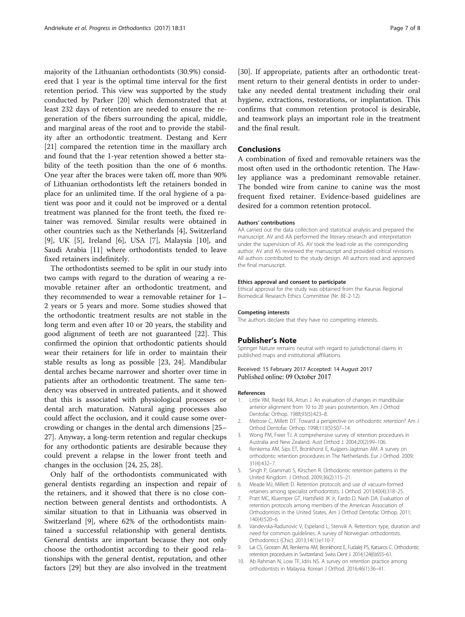<span id="page-6-0"></span>majority of the Lithuanian orthodontists (30.9%) considered that 1 year is the optimal time interval for the first retention period. This view was supported by the study conducted by Parker [\[20](#page-7-0)] which demonstrated that at least 232 days of retention are needed to ensure the regeneration of the fibers surrounding the apical, middle, and marginal areas of the root and to provide the stability after an orthodontic treatment. Destang and Kerr [[21\]](#page-7-0) compared the retention time in the maxillary arch and found that the 1-year retention showed a better stability of the teeth position than the one of 6 months. One year after the braces were taken off, more than 90% of Lithuanian orthodontists left the retainers bonded in place for an unlimited time. If the oral hygiene of a patient was poor and it could not be improved or a dental treatment was planned for the front teeth, the fixed retainer was removed. Similar results were obtained in other countries such as the Netherlands [4], Switzerland [9], UK [5], Ireland [6], USA [7], Malaysia [10], and Saudi Arabia [[11\]](#page-7-0) where orthodontists tended to leave fixed retainers indefinitely.

The orthodontists seemed to be split in our study into two camps with regard to the duration of wearing a removable retainer after an orthodontic treatment, and they recommended to wear a removable retainer for 1– 2 years or 5 years and more. Some studies showed that the orthodontic treatment results are not stable in the long term and even after 10 or 20 years, the stability and good alignment of teeth are not guaranteed [[22\]](#page-7-0). This confirmed the opinion that orthodontic patients should wear their retainers for life in order to maintain their stable results as long as possible [[23, 24\]](#page-7-0). Mandibular dental arches became narrower and shorter over time in patients after an orthodontic treatment. The same tendency was observed in untreated patients, and it showed that this is associated with physiological processes or dental arch maturation. Natural aging processes also could affect the occlusion, and it could cause some overcrowding or changes in the dental arch dimensions [[25](#page-7-0)– [27\]](#page-7-0). Anyway, a long-term retention and regular checkups for any orthodontic patients are desirable because they could prevent a relapse in the lower front teeth and changes in the occlusion [[24](#page-7-0), [25](#page-7-0), [28](#page-7-0)].

Only half of the orthodontists communicated with general dentists regarding an inspection and repair of the retainers, and it showed that there is no close connection between general dentists and orthodontists. A similar situation to that in Lithuania was observed in Switzerland [9], where 62% of the orthodontists maintained a successful relationship with general dentists. General dentists are important because they not only choose the orthodontist according to their good relationships with the general dentist, reputation, and other factors [\[29](#page-7-0)] but they are also involved in the treatment

[[30\]](#page-7-0). If appropriate, patients after an orthodontic treatment return to their general dentists in order to undertake any needed dental treatment including their oral hygiene, extractions, restorations, or implantation. This confirms that common retention protocol is desirable, and teamwork plays an important role in the treatment and the final result.

# Conclusions

A combination of fixed and removable retainers was the most often used in the orthodontic retention. The Hawley appliance was a predominant removable retainer. The bonded wire from canine to canine was the most frequent fixed retainer. Evidence-based guidelines are desired for a common retention protocol.

#### Authors' contributions

AA carried out the data collection and statistical analysis and prepared the manuscript. AV and AA performed the literary research and interpretation under the supervision of AS. AV took the lead role as the corresponding author. AV and AS reviewed the manuscript and provided critical revisions. All authors contributed to the study design. All authors read and approved the final manuscript.

#### Ethics approval and consent to participate

Ethical approval for the study was obtained from the Kaunas Regional Biomedical Research Ethics Committee (Nr. BE-2-12).

#### Competing interests

The authors declare that they have no competing interests.

#### Publisher's Note

Springer Nature remains neutral with regard to jurisdictional claims in published maps and institutional affiliations.

#### Received: 15 February 2017 Accepted: 14 August 2017 Published online: 09 October 2017

#### References

- 1. Little RM, Riedel RA, Artun J. An evaluation of changes in mandibular anterior alignment from 10 to 20 years postretention. Am J Orthod Dentofac Orthop. 1988;93(5):423–8.
- 2. Melrose C, Millett DT. Toward a perspective on orthodontic retention? Am J Orthod Dentofac Orthop. 1998;113(5):507–14.
- 3. Wong PM, Freer TJ. A comprehensive survey of retention procedures in Australia and New Zealand. Aust Orthod J. 2004;20(2):99–106.
- 4. Renkema AM, Sips ET, Bronkhorst E, Kuijpers-Jagtman AM. A survey on orthodontic retention procedures in The Netherlands. Eur J Orthod. 2009; 31(4):432–7.
- 5. Singh P, Grammati S, Kirschen R. Orthodontic retention patterns in the United Kingdom. J Orthod. 2009;36(2):115–21.
- 6. Meade MJ, Millett D. Retention protocols and use of vacuum-formed retainers among specialist orthodontists. J Orthod. 2013;40(4):318–25.
- 7. Pratt MC, Kluemper GT, Hartsfield JK Jr, Fardo D, Nash DA. Evaluation of retention protocols among members of the American Association of Orthodontists in the United States. Am J Orthod Dentofac Orthop. 2011; 140(4):520–6.
- 8. Vandevska-Radunovic V, Espeland L, Stenvik A. Retention: type, duration and need for common guidelines. A survey of Norwegian orthodontists. Orthodontics (Chic). 2013;14(1):e110-7.
- 9. Lai CS, Grossen JM, Renkema AM, Bronkhorst E, Fudalej PS, Katsaros C. Orthodontic retention procedures in Switzerland. Swiss Dent J. 2014;124(6):655–61.
- 10. Ab Rahman N, Low TF, Idris NS. A survey on retention practice among orthodontists in Malaysia. Korean J Orthod. 2016;46(1):36–41.